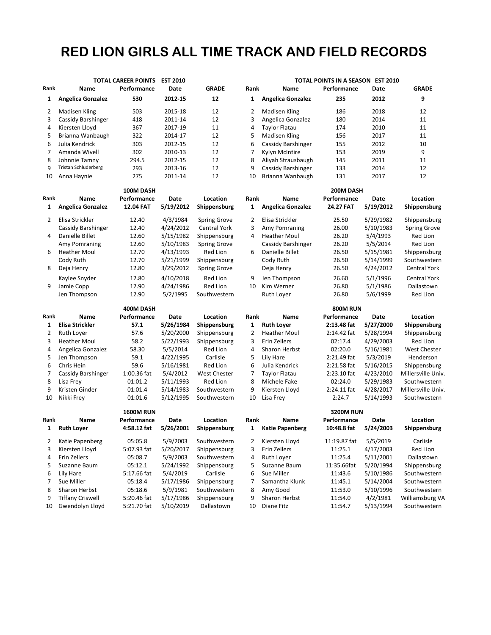## **RED LION GIRLS ALL TIME TRACK AND FIELD RECORDS**

|              | <b>TOTAL CAREER POINTS</b>  |                  | <b>EST 2010</b> |                     |                |                          | TOTAL POINTS IN A SEASON EST 2010 |           |                     |  |
|--------------|-----------------------------|------------------|-----------------|---------------------|----------------|--------------------------|-----------------------------------|-----------|---------------------|--|
| Rank         | Name                        | Performance      | Date            | <b>GRADE</b>        | Rank           | Name                     | Performance                       | Date      | <b>GRADE</b>        |  |
| 1            | <b>Angelica Gonzalez</b>    | 530              | 2012-15         | 12                  | 1              | <b>Angelica Gonzalez</b> | 235                               | 2012      | 9                   |  |
| 2            | <b>Madisen Kling</b>        | 503              | 2015-18         | 12                  | 2              | Madisen Kling            | 186                               | 2018      | 12                  |  |
| 3            | Cassidy Barshinger          | 418              | 2011-14         | 12                  | 3              | Angelica Gonzalez        | 180                               | 2014      | 11                  |  |
| 4            | Kiersten Lloyd              | 367              | 2017-19         | 11                  | 4              | <b>Taylor Flatau</b>     | 174                               | 2010      | 11                  |  |
| 5            | Brianna Wanbaugh            | 322              | 2014-17         | 12                  | 5              | Madisen Kling            | 156                               | 2017      | 11                  |  |
| 6            | Julia Kendrick              | 303              | 2012-15         | 12                  | 6              | Cassidy Barshinger       | 155                               | 2012      | 10                  |  |
| 7            | Amanda Wivell               | 302              | 2010-13         | 12                  | $\overline{7}$ | Kylyn McIntire           | 153                               | 2019      | 9                   |  |
| 8            | Johnnie Tamny               | 294.5            | 2012-15         | 12                  | 8              | Aliyah Strausbaugh       | 145                               | 2011      | 11                  |  |
| 9            | <b>Tristan Schluderberg</b> | 293              | 2013-16         | 12                  | 9              | Cassidy Barshinger       | 133                               | 2014      | 12                  |  |
| 10           | Anna Haynie                 | 275              | 2011-14         | 12                  | 10             | Brianna Wanbaugh         | 131                               | 2017      | 12                  |  |
|              |                             | 100M DASH        |                 |                     |                |                          | 200M DASH                         |           |                     |  |
| Rank         | Name                        | Performance      | Date            | Location            | Rank           | <b>Name</b>              | Performance                       | Date      | Location            |  |
| $\mathbf{1}$ | <b>Angelica Gonzalez</b>    | 12.04 FAT        | 5/19/2012       | Shippensburg        | $\mathbf{1}$   | <b>Angelica Gonzalez</b> | 24.27 FAT                         | 5/19/2012 | Shippensburg        |  |
| 2            | Elisa Strickler             | 12.40            | 4/3/1984        | <b>Spring Grove</b> | 2              | Elisa Strickler          | 25.50                             | 5/29/1982 | Shippensburg        |  |
|              | Cassidy Barshinger          | 12.40            | 4/24/2012       | Central York        | 3              | Amy Pomraning            | 26.00                             | 5/10/1983 | <b>Spring Grove</b> |  |
| 4            | Danielle Billet             | 12.60            | 5/15/1982       | Shippensburg        | 4              | <b>Heather Moul</b>      | 26.20                             | 5/4/1993  | Red Lion            |  |
|              | Amy Pomraning               | 12.60            | 5/10/1983       | Spring Grove        |                | Cassidy Barshinger       | 26.20                             | 5/5/2014  | Red Lion            |  |
| 6            | <b>Heather Moul</b>         | 12.70            | 4/13/1993       | Red Lion            | 6              | Danielle Billet          | 26.50                             | 5/15/1981 | Shippensburg        |  |
|              | Cody Ruth                   | 12.70            | 5/21/1999       | Shippensburg        |                | Cody Ruth                | 26.50                             | 5/14/1999 | Southwestern        |  |
| 8            | Deja Henry                  | 12.80            | 3/29/2012       | <b>Spring Grove</b> |                | Deja Henry               | 26.50                             | 4/24/2012 | <b>Central York</b> |  |
|              | Kaylee Snyder               | 12.80            | 4/10/2018       | <b>Red Lion</b>     | 9              | Jen Thompson             | 26.60                             | 5/1/1996  | <b>Central York</b> |  |
| 9            | Jamie Copp                  | 12.90            | 4/24/1986       | Red Lion            | 10             | Kim Werner               | 26.80                             | 5/1/1986  | Dallastown          |  |
|              | Jen Thompson                | 12.90            | 5/2/1995        | Southwestern        |                | Ruth Loyer               | 26.80                             | 5/6/1999  | Red Lion            |  |
|              |                             | 400M DASH        |                 |                     |                |                          | <b>800M RUN</b>                   |           |                     |  |
| Rank         | Name                        | Performance      | Date            | Location            | Rank           | Name                     | Performance                       | Date      | Location            |  |
| 1            | Elisa Strickler             | 57.1             | 5/26/1984       | Shippensburg        | $\mathbf{1}$   | <b>Ruth Loyer</b>        | 2:13.48 fat                       | 5/27/2000 | Shippensburg        |  |
| 2            | Ruth Loyer                  | 57.6             | 5/20/2000       | Shippensburg        | 2              | <b>Heather Moul</b>      | 2:14.42 fat                       | 5/28/1994 | Shippensburg        |  |
| 3            | <b>Heather Moul</b>         | 58.2             | 5/22/1993       | Shippensburg        | 3              | Erin Zellers             | 02:17.4                           | 4/29/2003 | Red Lion            |  |
| 4            | Angelica Gonzalez           | 58.30            | 5/5/2014        | Red Lion            | 4              | <b>Sharon Herbst</b>     | 02:20.0                           | 5/16/1981 | <b>West Chester</b> |  |
| 5            | Jen Thompson                | 59.1             | 4/22/1995       | Carlisle            | 5              | Lily Hare                | 2:21.49 fat                       | 5/3/2019  | Henderson           |  |
| 6            | Chris Hein                  | 59.6             | 5/16/1981       | Red Lion            | 6              | Julia Kendrick           | 2:21.58 fat                       | 5/16/2015 | Shippensburg        |  |
| 7            | Cassidy Barshinger          | 1:00.36 fat      | 5/4/2012        | <b>West Chester</b> | 7              | Taylor Flatau            | 2:23.10 fat                       | 4/23/2010 | Millersville Univ.  |  |
| 8            | Lisa Frey                   | 01:01.2          | 5/11/1993       | Red Lion            | 8              | Michele Fake             | 02:24.0                           | 5/29/1983 | Southwestern        |  |
| 9            | Kristen Ginder              | 01:01.4          | 5/14/1983       | Southwestern        | 9              | Kiersten Lloyd           | 2:24.11 fat                       | 4/28/2017 | Millersville Univ.  |  |
| 10           | Nikki Frey                  | 01:01.6          | 5/12/1995       | Southwestern        | 10             | Lisa Frey                | 2:24.7                            | 5/14/1993 | Southwestern        |  |
|              |                             | <b>1600M RUN</b> |                 |                     |                |                          | <b>3200M RUN</b>                  |           |                     |  |
| Rank         | Name                        | Performance      | Date            | Location            | Rank           | Name                     | Performance                       | Date      | Location            |  |
| 1            | <b>Ruth Loyer</b>           | 4:58.12 fat      | 5/26/2001       | Shippensburg        | $\mathbf{1}$   | <b>Katie Papenberg</b>   | 10:48.8 fat                       | 5/24/2003 | Shippensburg        |  |
| 2            | Katie Papenberg             | 05:05.8          | 5/9/2003        | Southwestern        | 2              | Kiersten Lloyd           | 11:19.87 fat                      | 5/5/2019  | Carlisle            |  |
| 3            | Kiersten Lloyd              | 5:07.93 fat      | 5/20/2017       | Shippensburg        | 3              | Erin Zellers             | 11:25.1                           | 4/17/2003 | Red Lion            |  |
| 4            | Erin Zellers                | 05:08.7          | 5/9/2003        | Southwestern        | 4              | Ruth Loyer               | 11:25.4                           | 5/11/2001 | Dallastown          |  |
| 5            | Suzanne Baum                | 05:12.1          | 5/24/1992       | Shippensburg        | 5              | Suzanne Baum             | 11:35.66fat                       | 5/20/1994 | Shippensburg        |  |
| 6            | Lily Hare                   | 5:17.66 fat      | 5/4/2019        | Carlisle            | 6              | Sue Miller               | 11:43.6                           | 5/10/1986 | Southwestern        |  |
| 7            | Sue Miller                  | 05:18.4          | 5/17/1986       | Shippensburg        | 7              | Samantha Klunk           | 11:45.1                           | 5/14/2004 | Southwestern        |  |
| 8            | Sharon Herbst               | 05:18.6          | 5/9/1981        | Southwestern        | 8              | Amy Good                 | 11:53.0                           | 5/10/1996 | Southwestern        |  |
| 9            | <b>Tiffany Criswell</b>     | 5:20.46 fat      | 5/17/1986       | Shippensburg        | 9              | Sharon Herbst            | 11:54.0                           | 4/2/1981  | Williamsburg VA     |  |
| 10           | Gwendolyn Lloyd             | 5:21.70 fat      | 5/10/2019       | Dallastown          | 10             | Diane Fitz               | 11:54.7                           | 5/13/1994 | Southwestern        |  |
|              |                             |                  |                 |                     |                |                          |                                   |           |                     |  |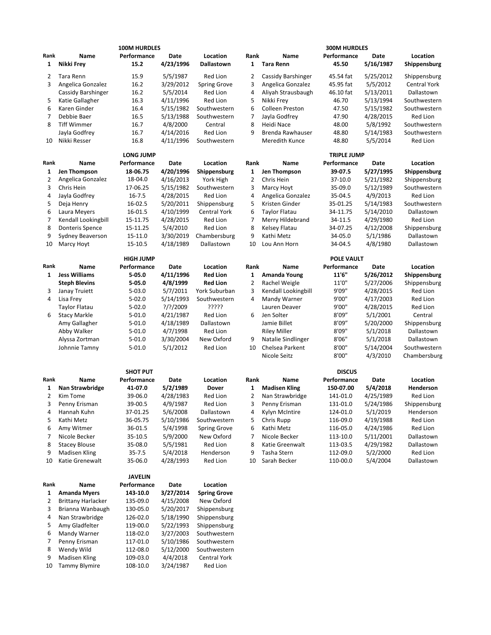|              |                           | <b>100M HURDLES</b> |             |                     |                |                      | <b>300M HURDLES</b> |           |                 |
|--------------|---------------------------|---------------------|-------------|---------------------|----------------|----------------------|---------------------|-----------|-----------------|
| Rank         | Name                      | Performance         | Date        | Location            | Rank           | Name                 | Performance         | Date      | Location        |
| 1            | Nikki Frey                | 15.2                | 4/23/1996   | Dallastown          | $\mathbf{1}$   | <b>Tara Renn</b>     | 45.50               | 5/16/1987 | Shippensburg    |
| 2            | Tara Renn                 | 15.9                | 5/5/1987    | Red Lion            | 2              | Cassidy Barshinger   | 45.54 fat           | 5/25/2012 | Shippensburg    |
| 3            | Angelica Gonzalez         | 16.2                | 3/29/2012   | Spring Grove        | 3              | Angelica Gonzalez    | 45.95 fat           | 5/5/2012  | Central York    |
|              | Cassidy Barshinger        | 16.2                | 5/5/2014    | Red Lion            | 4              | Aliyah Strausbaugh   | 46.10 fat           | 5/13/2011 | Dallastown      |
| 5            | Katie Gallagher           | 16.3                | 4/11/1996   | <b>Red Lion</b>     | 5              | Nikki Frey           | 46.70               | 5/13/1994 | Southwestern    |
| 6            | Karen Ginder              | 16.4                | 5/15/1982   | Southwestern        | 6              | Colleen Preston      | 47.50               | 5/15/1982 | Southwestern    |
| 7            | Debbie Baer               | 16.5                | 5/13/1988   | Southwestern        | $\overline{7}$ | Jayla Godfrey        | 47.90               | 4/28/2015 | Red Lion        |
| 8            | <b>Tiff Wimmer</b>        | 16.7                | 4/8/2000    | Central             | 8              | Heidi Nace           | 48.00               | 5/8/1992  | Southwestern    |
|              |                           |                     |             |                     |                |                      |                     |           |                 |
|              | Jayla Godfrey             | 16.7                | 4/14/2016   | Red Lion            | 9              | Brenda Rawhauser     | 48.80               | 5/14/1983 | Southwestern    |
| 10           | Nikki Resser              | 16.8                | 4/11/1996   | Southwestern        |                | Meredith Kunce       | 48.80               | 5/5/2014  | Red Lion        |
|              |                           | <b>LONG JUMP</b>    |             |                     |                |                      | <b>TRIPLE JUMP</b>  |           |                 |
| Rank         | Name                      | Performance         | Date        | Location            | Rank           | Name                 | Performance         | Date      | Location        |
| 1            | Jen Thompson              | 18-06.75            | 4/20/1996   | Shippensburg        | 1              | Jen Thompson         | 39-07.5             | 5/27/1995 | Shippensburg    |
| 2            | Angelica Gonzalez         | 18-04.0             | 4/16/2013   | York High           | $\overline{2}$ | Chris Hein           | 37-10.0             | 5/21/1982 | Shippensburg    |
| 3            | Chris Hein                | 17-06.25            | 5/15/1982   | Southwestern        | 3              | Marcy Hoyt           | 35-09.0             | 5/12/1989 | Southwestern    |
| 4            | Jayla Godfrey             | $16 - 7.5$          | 4/28/2015   | Red Lion            | 4              | Angelica Gonzalez    | 35-04.5             | 4/9/2013  | <b>Red Lion</b> |
| 5            | Deja Henry                | 16-02.5             | 5/20/2011   | Shippensburg        | 5              | Kristen Ginder       | 35-01.25            | 5/14/1983 | Southwestern    |
| 6            | Laura Meyers              | 16-01.5             | 4/10/1999   | <b>Central York</b> | 6              | <b>Taylor Flatau</b> | 34-11.75            | 5/14/2010 | Dallastown      |
| 7            | Kendall Lookingbill       | 15-11.75            | 4/28/2015   | Red Lion            | $\overline{7}$ | Merry Hildebrand     | 34-11.5             | 4/29/1980 | Red Lion        |
| 8            |                           |                     |             | Red Lion            | 8              |                      |                     | 4/12/2008 |                 |
|              | <b>Donteris Spence</b>    | 15-11.25            | 5/4/2010    |                     |                | Kelsey Flatau        | 34-07.25            |           | Shippensburg    |
| 9            | Sydney Beaverson          | 15-11.0             | 3/30/2019   | Chambersburg        | 9              | Kathi Metz           | 34-05.0             | 5/1/1986  | Dallastown      |
| 10           | Marcy Hoyt                | 15-10.5             | 4/18/1989   | Dallastown          | 10             | Lou Ann Horn         | 34-04.5             | 4/8/1980  | Dallastown      |
|              |                           | <b>HIGH JUMP</b>    |             |                     |                |                      | POLE VAULT          |           |                 |
| Rank         | Name                      | Performance         | Date        | Location            | Rank           | Name                 | Performance         | Date      | Location        |
|              | <b>Jess Williams</b>      |                     | 4/11/1996   |                     |                |                      |                     |           |                 |
| $\mathbf{1}$ |                           | 5-05.0              |             | <b>Red Lion</b>     | $\mathbf{1}$   | Amanda Young         | 11'6"               | 5/26/2012 | Shippensburg    |
|              | <b>Steph Blevins</b>      | $5 - 05.0$          | 4/8/1999    | <b>Red Lion</b>     | 2              | Rachel Weigle        | 11'0"               | 5/27/2006 | Shippensburg    |
| 3            | Janay Truiett             | $5 - 03.0$          | 5/7/2011    | York Suburban       | 3              | Kendall Lookingbill  | 9'09"               | 4/28/2015 | Red Lion        |
| 4            | Lisa Frey                 | $5 - 02.0$          | 5/14/1993   | Southwestern        | 4              | Mandy Warner         | 9'00"               | 4/17/2003 | <b>Red Lion</b> |
|              | <b>Taylor Flatau</b>      | $5 - 02.0$          | $?$ /?/2009 | ?????               |                | Lauren Deaver        | 9'00"               | 4/28/2015 | <b>Red Lion</b> |
| 6            | <b>Stacy Markle</b>       | $5 - 01.0$          | 4/21/1987   | Red Lion            | 6              | Jen Solter           | 8'09"               | 5/1/2001  | Central         |
|              | Amy Gallagher             | $5 - 01.0$          | 4/18/1989   | Dallastown          |                | Jamie Billet         | 8'09"               | 5/20/2000 | Shippensburg    |
|              | Abby Walker               | $5 - 01.0$          | 4/7/1998    | Red Lion            |                | <b>Riley Miller</b>  | 8'09"               | 5/1/2018  | Dallastown      |
|              | Alyssa Zortman            | $5 - 01.0$          | 3/30/2004   | New Oxford          | 9              | Natalie Sindlinger   | 8'06"               | 5/1/2018  | Dallastown      |
|              | Johnnie Tamny             | $5 - 01.0$          | 5/1/2012    | Red Lion            | 10             | Chelsea Parkent      | 8'00"               | 5/14/2004 | Southwestern    |
|              |                           |                     |             |                     |                | Nicole Seitz         | 8'00"               | 4/3/2010  | Chambersburg    |
|              |                           |                     |             |                     |                |                      |                     |           |                 |
|              |                           | <b>SHOT PUT</b>     |             |                     |                |                      | <b>DISCUS</b>       |           |                 |
| Rank         | Name                      | Performance         | Date        | Location            | Rank           | Name                 | Performance         | Date      | Location        |
| 1            | Nan Strawbridge           | 41-07.0             | 5/2/1989    | <b>Dover</b>        | $\mathbf{1}$   | <b>Madisen Kling</b> | 150-07.00           | 5/4/2018  | Henderson       |
| 2            | Kim Tome                  | 39-06.0             | 4/28/1983   | Red Lion            | $\overline{2}$ | Nan Strawbridge      | 141-01.0            | 4/25/1989 | Red Lion        |
| 3            | Penny Erisman             | 39-00.5             | 4/9/1987    | Red Lion            | 3              | Penny Erisman        | 131-01.0            | 5/24/1986 | Shippensburg    |
| 4            | Hannah Kuhn               | 37-01.25            | 5/6/2008    | Dallastown          | 4              | Kylyn McIntire       | 124-01.0            | 5/1/2019  | Henderson       |
| 5            | Kathi Metz                | 36-05.75            | 5/10/1986   | Southwestern        | 5              | Chris Rupp           | 116-09.0            | 4/19/1988 | Red Lion        |
| 6            | Amy Witmer                | 36-01.5             | 5/4/1998    | <b>Spring Grove</b> | 6              | Kathi Metz           | 116-05.0            | 4/24/1986 | Red Lion        |
| 7            | Nicole Becker             | 35-10.5             | 5/9/2000    | New Oxford          | 7              | Nicole Becker        | 113-10.0            | 5/11/2001 | Dallastown      |
| 8            | <b>Stacey Blouse</b>      | 35-08.0             | 5/5/1981    | Red Lion            | 8              | Katie Greenwalt      | 113-03.5            | 4/29/1982 | Dallastown      |
| 9            | <b>Madisen Kling</b>      | $35 - 7.5$          | 5/4/2018    | Henderson           | 9              | Tasha Stern          | 112-09.0            | 5/2/2000  | Red Lion        |
| 10           | Katie Grenewalt           | 35-06.0             | 4/28/1993   | Red Lion            | 10             | Sarah Becker         | 110-00.0            | 5/4/2004  | Dallastown      |
|              |                           |                     |             |                     |                |                      |                     |           |                 |
|              |                           | <b>JAVELIN</b>      |             |                     |                |                      |                     |           |                 |
| Rank         | Name                      | Performance         | Date        | Location            |                |                      |                     |           |                 |
| 1            | <b>Amanda Myers</b>       | 143-10.0            | 3/27/2014   | <b>Spring Grove</b> |                |                      |                     |           |                 |
| 2            | <b>Brittany Harlacker</b> | 135-09.0            | 4/15/2008   | New Oxford          |                |                      |                     |           |                 |
| 3            | Brianna Wanbaugh          | 130-05.0            | 5/20/2017   | Shippensburg        |                |                      |                     |           |                 |
| 4            | Nan Strawbridge           | 126-02.0            | 5/18/1990   | Shippensburg        |                |                      |                     |           |                 |
| 5            | Amy Gladfelter            | 119-00.0            | 5/22/1993   | Shippensburg        |                |                      |                     |           |                 |
| 6            | Mandy Warner              | 118-02.0            | 3/27/2003   | Southwestern        |                |                      |                     |           |                 |
| 7            | Penny Erisman             | 117-01.0            | 5/10/1986   | Southwestern        |                |                      |                     |           |                 |
| 8            | Wendy Wild                | 112-08.0            | 5/12/2000   | Southwestern        |                |                      |                     |           |                 |
| 9            |                           |                     |             |                     |                |                      |                     |           |                 |
|              | Madisen Kling             | 109-03.0            | 4/4/2018    | Central York        |                |                      |                     |           |                 |
| 10           | <b>Tammy Blymire</b>      | 108-10.0            | 3/24/1987   | Red Lion            |                |                      |                     |           |                 |